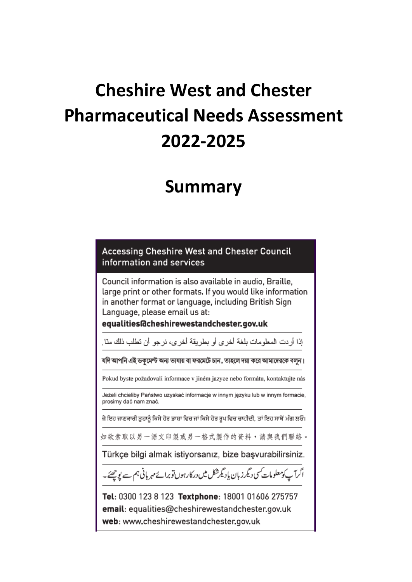# **Cheshire West and Chester Pharmaceutical Needs Assessment 2022-2025**

# Sum na V information and services

**Sum** 

Council information is also available in audio, Braille, large print or other formats. If you would like information in another format or language, including British Sign Language, please email us at:

equalities@cheshirewestandchester.gov.uk

إذا أردت المعلومات بلغة أخرى أو بطريقة أخرى، نرجو أن تطلب ذلك منّا.

যদি আপনি এই ডক্মেন্ট অন্য ভাষায় বা ফরমেটে চান, তাহলে দয়া করে আমাদেরকে বলন।

Pokud byste požadovali informace v jiném jazyce nebo formátu, kontaktujte nás

Jeżeli chcieliby Państwo uzyskać informacje w innym języku lub w innym formacie, prosimy dać nam znać.

ਜੇ ਇਹ ਜਾਣਕਾਰੀ ਤੁਹਾਨੂੰ ਕਿਸੇ ਹੋਰ ਭਾਸ਼ਾ ਵਿਚ ਜਾਂ ਕਿਸੇ ਹੋਰ ਰੂਪ ਵਿਚ ਚਾਹੀਦੀ, ਤਾਂ ਇਹ ਸਾਥੋਂ ਮੰਗ ਲਓ।

如欲索取以另一語文印製或另一格式製作的資料,請與我們聯絡。

Türkçe bilgi almak istiyorsanız, bize başvurabilirsiniz.

اگرآپ کومعلومات کسی دیگر زبان یادیگرشکل میں درکارہوں توبرائے مہربانی ہم سے پوچھئے۔

Tel: 0300 123 8 123 Textphone: 18001 01606 275757 email: equalities@cheshirewestandchester.gov.uk web: www.cheshirewestandchester.gov.uk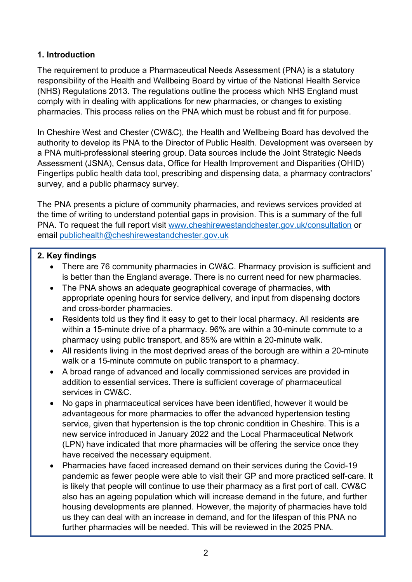## **1. Introduction**

The requirement to produce a Pharmaceutical Needs Assessment (PNA) is a statutory responsibility of the Health and Wellbeing Board by virtue of the National Health Service (NHS) Regulations 2013. The regulations outline the process which NHS England must comply with in dealing with applications for new pharmacies, or changes to existing pharmacies. This process relies on the PNA which must be robust and fit for purpose.

In Cheshire West and Chester (CW&C), the Health and Wellbeing Board has devolved the authority to develop its PNA to the Director of Public Health. Development was overseen by a PNA multi-professional steering group. Data sources include the Joint Strategic Needs Assessment (JSNA), Census data, Office for Health Improvement and Disparities (OHID) Fingertips public health data tool, prescribing and dispensing data, a pharmacy contractors' survey, and a public pharmacy survey.

The PNA presents a picture of community pharmacies, and reviews services provided at the time of writing to understand potential gaps in provision. This is a summary of the full PNA. To request the full report visit [www.cheshirewestandchester.gov.uk/consultation](http://www.cheshire/) or email [publichealth@cheshirewestandchester.gov.uk](mailto:publichealth@cheshirewestandchester.gov.uk)

#### **2. Key findings**

- There are 76 community pharmacies in CW&C. Pharmacy provision is sufficient and is better than the England average. There is no current need for new pharmacies.
- The PNA shows an adequate geographical coverage of pharmacies, with appropriate opening hours for service delivery, and input from dispensing doctors and cross-border pharmacies.
- Residents told us they find it easy to get to their local pharmacy. All residents are within a 15-minute drive of a pharmacy. 96% are within a 30-minute commute to a pharmacy using public transport, and 85% are within a 20-minute walk.
- All residents living in the most deprived areas of the borough are within a 20-minute walk or a 15-minute commute on public transport to a pharmacy.
- A broad range of advanced and locally commissioned services are provided in addition to essential services. There is sufficient coverage of pharmaceutical services in CW&C.
- No gaps in pharmaceutical services have been identified, however it would be advantageous for more pharmacies to offer the advanced hypertension testing service, given that hypertension is the top chronic condition in Cheshire. This is a new service introduced in January 2022 and the Local Pharmaceutical Network (LPN) have indicated that more pharmacies will be offering the service once they have received the necessary equipment.
- Pharmacies have faced increased demand on their services during the Covid-19 pandemic as fewer people were able to visit their GP and more practiced self-care. It is likely that people will continue to use their pharmacy as a first port of call. CW&C also has an ageing population which will increase demand in the future, and further housing developments are planned. However, the majority of pharmacies have told us they can deal with an increase in demand, and for the lifespan of this PNA no further pharmacies will be needed. This will be reviewed in the 2025 PNA.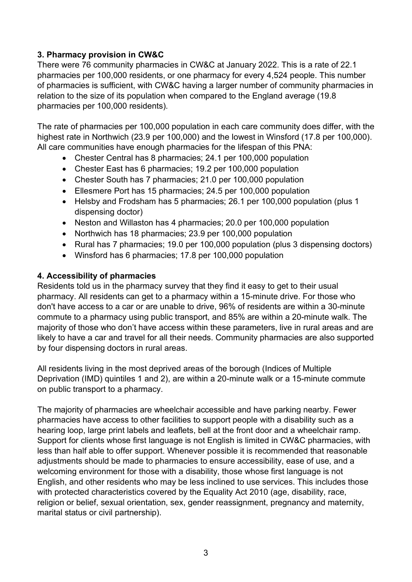## **3. Pharmacy provision in CW&C**

There were 76 community pharmacies in CW&C at January 2022. This is a rate of 22.1 pharmacies per 100,000 residents, or one pharmacy for every 4,524 people. This number of pharmacies is sufficient, with CW&C having a larger number of community pharmacies in relation to the size of its population when compared to the England average (19.8 pharmacies per 100,000 residents).

The rate of pharmacies per 100,000 population in each care community does differ, with the highest rate in Northwich (23.9 per 100,000) and the lowest in Winsford (17.8 per 100,000). All care communities have enough pharmacies for the lifespan of this PNA:

- Chester Central has 8 pharmacies; 24.1 per 100,000 population
- Chester East has 6 pharmacies; 19.2 per 100,000 population
- Chester South has 7 pharmacies: 21.0 per 100,000 population
- Ellesmere Port has 15 pharmacies; 24.5 per 100,000 population
- Helsby and Frodsham has 5 pharmacies; 26.1 per 100,000 population (plus 1 dispensing doctor)
- Neston and Willaston has 4 pharmacies; 20.0 per 100,000 population
- Northwich has 18 pharmacies; 23.9 per 100,000 population
- Rural has 7 pharmacies; 19.0 per 100,000 population (plus 3 dispensing doctors)
- Winsford has 6 pharmacies; 17.8 per 100,000 population

#### **4. Accessibility of pharmacies**

Residents told us in the pharmacy survey that they find it easy to get to their usual pharmacy. All residents can get to a pharmacy within a 15-minute drive. For those who don't have access to a car or are unable to drive, 96% of residents are within a 30-minute commute to a pharmacy using public transport, and 85% are within a 20-minute walk. The majority of those who don't have access within these parameters, live in rural areas and are likely to have a car and travel for all their needs. Community pharmacies are also supported by four dispensing doctors in rural areas.

All residents living in the most deprived areas of the borough (Indices of Multiple Deprivation (IMD) quintiles 1 and 2), are within a 20-minute walk or a 15-minute commute on public transport to a pharmacy.

The majority of pharmacies are wheelchair accessible and have parking nearby. Fewer pharmacies have access to other facilities to support people with a disability such as a hearing loop, large print labels and leaflets, bell at the front door and a wheelchair ramp. Support for clients whose first language is not English is limited in CW&C pharmacies, with less than half able to offer support. Whenever possible it is recommended that reasonable adjustments should be made to pharmacies to ensure accessibility, ease of use, and a welcoming environment for those with a disability, those whose first language is not English, and other residents who may be less inclined to use services. This includes those with protected characteristics covered by the Equality Act 2010 (age, disability, race, religion or belief, sexual orientation, sex, gender reassignment, pregnancy and maternity, marital status or civil partnership).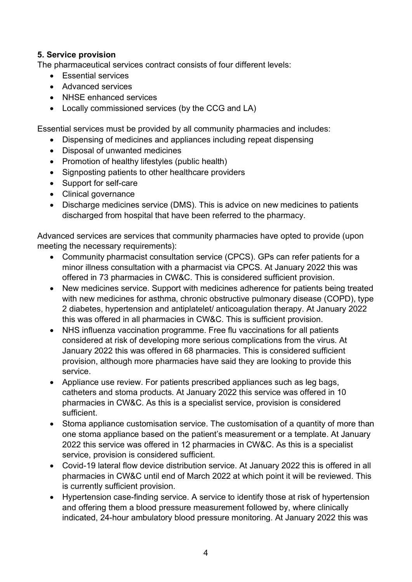#### **5. Service provision**

The pharmaceutical services contract consists of four different levels:

- Essential services
- Advanced services
- NHSE enhanced services
- Locally commissioned services (by the CCG and LA)

Essential services must be provided by all community pharmacies and includes:

- Dispensing of medicines and appliances including repeat dispensing
- Disposal of unwanted medicines
- Promotion of healthy lifestyles (public health)
- Signposting patients to other healthcare providers
- Support for self-care
- Clinical governance
- Discharge medicines service (DMS). This is advice on new medicines to patients discharged from hospital that have been referred to the pharmacy.

Advanced services are services that community pharmacies have opted to provide (upon meeting the necessary requirements):

- Community pharmacist consultation service (CPCS). GPs can refer patients for a minor illness consultation with a pharmacist via CPCS. At January 2022 this was offered in 73 pharmacies in CW&C. This is considered sufficient provision.
- New medicines service. Support with medicines adherence for patients being treated with new medicines for asthma, chronic obstructive pulmonary disease (COPD), type 2 diabetes, hypertension and antiplatelet/ anticoagulation therapy. At January 2022 this was offered in all pharmacies in CW&C. This is sufficient provision.
- NHS influenza vaccination programme. Free flu vaccinations for all patients considered at risk of developing more serious complications from the virus. At January 2022 this was offered in 68 pharmacies. This is considered sufficient provision, although more pharmacies have said they are looking to provide this service.
- Appliance use review. For patients prescribed appliances such as leg bags, catheters and stoma products. At January 2022 this service was offered in 10 pharmacies in CW&C. As this is a specialist service, provision is considered sufficient.
- Stoma appliance customisation service. The customisation of a quantity of more than one stoma appliance based on the patient's measurement or a template. At January 2022 this service was offered in 12 pharmacies in CW&C. As this is a specialist service, provision is considered sufficient.
- Covid-19 lateral flow device distribution service. At January 2022 this is offered in all pharmacies in CW&C until end of March 2022 at which point it will be reviewed. This is currently sufficient provision.
- Hypertension case-finding service. A service to identify those at risk of hypertension and offering them a blood pressure measurement followed by, where clinically indicated, 24-hour ambulatory blood pressure monitoring. At January 2022 this was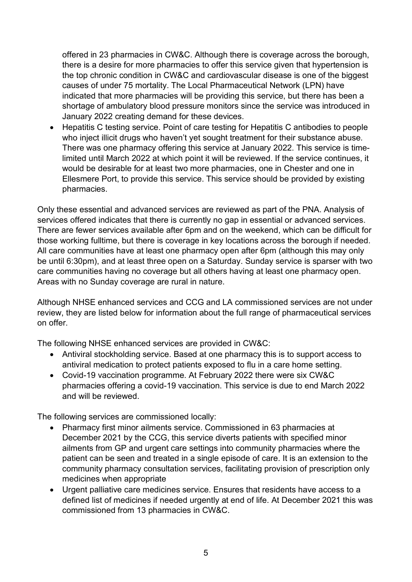offered in 23 pharmacies in CW&C. Although there is coverage across the borough, there is a desire for more pharmacies to offer this service given that hypertension is the top chronic condition in CW&C and cardiovascular disease is one of the biggest causes of under 75 mortality. The Local Pharmaceutical Network (LPN) have indicated that more pharmacies will be providing this service, but there has been a shortage of ambulatory blood pressure monitors since the service was introduced in January 2022 creating demand for these devices.

• Hepatitis C testing service. Point of care testing for Hepatitis C antibodies to people who inject illicit drugs who haven't yet sought treatment for their substance abuse. There was one pharmacy offering this service at January 2022. This service is timelimited until March 2022 at which point it will be reviewed. If the service continues, it would be desirable for at least two more pharmacies, one in Chester and one in Ellesmere Port, to provide this service. This service should be provided by existing pharmacies.

Only these essential and advanced services are reviewed as part of the PNA. Analysis of services offered indicates that there is currently no gap in essential or advanced services. There are fewer services available after 6pm and on the weekend, which can be difficult for those working fulltime, but there is coverage in key locations across the borough if needed. All care communities have at least one pharmacy open after 6pm (although this may only be until 6:30pm), and at least three open on a Saturday. Sunday service is sparser with two care communities having no coverage but all others having at least one pharmacy open. Areas with no Sunday coverage are rural in nature.

Although NHSE enhanced services and CCG and LA commissioned services are not under review, they are listed below for information about the full range of pharmaceutical services on offer.

The following NHSE enhanced services are provided in CW&C:

- Antiviral stockholding service. Based at one pharmacy this is to support access to antiviral medication to protect patients exposed to flu in a care home setting.
- Covid-19 vaccination programme. At February 2022 there were six CW&C pharmacies offering a covid-19 vaccination. This service is due to end March 2022 and will be reviewed.

The following services are commissioned locally:

- Pharmacy first minor ailments service. Commissioned in 63 pharmacies at December 2021 by the CCG, this service diverts patients with specified minor ailments from GP and urgent care settings into community pharmacies where the patient can be seen and treated in a single episode of care. It is an extension to the community pharmacy consultation services, facilitating provision of prescription only medicines when appropriate
- Urgent palliative care medicines service. Ensures that residents have access to a defined list of medicines if needed urgently at end of life. At December 2021 this was commissioned from 13 pharmacies in CW&C.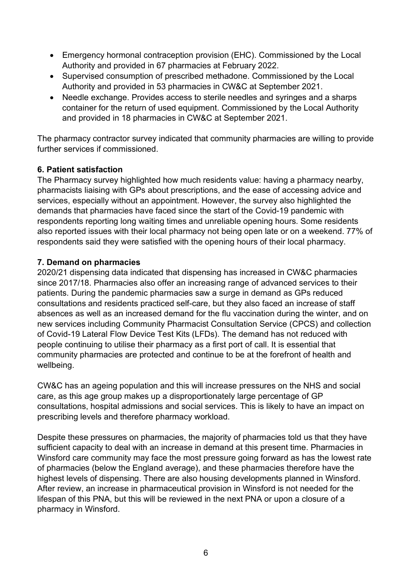- Emergency hormonal contraception provision (EHC). Commissioned by the Local Authority and provided in 67 pharmacies at February 2022.
- Supervised consumption of prescribed methadone. Commissioned by the Local Authority and provided in 53 pharmacies in CW&C at September 2021.
- Needle exchange. Provides access to sterile needles and syringes and a sharps container for the return of used equipment. Commissioned by the Local Authority and provided in 18 pharmacies in CW&C at September 2021.

The pharmacy contractor survey indicated that community pharmacies are willing to provide further services if commissioned.

#### **6. Patient satisfaction**

The Pharmacy survey highlighted how much residents value: having a pharmacy nearby, pharmacists liaising with GPs about prescriptions, and the ease of accessing advice and services, especially without an appointment. However, the survey also highlighted the demands that pharmacies have faced since the start of the Covid-19 pandemic with respondents reporting long waiting times and unreliable opening hours. Some residents also reported issues with their local pharmacy not being open late or on a weekend. 77% of respondents said they were satisfied with the opening hours of their local pharmacy.

#### **7. Demand on pharmacies**

2020/21 dispensing data indicated that dispensing has increased in CW&C pharmacies since 2017/18. Pharmacies also offer an increasing range of advanced services to their patients. During the pandemic pharmacies saw a surge in demand as GPs reduced consultations and residents practiced self-care, but they also faced an increase of staff absences as well as an increased demand for the flu vaccination during the winter, and on new services including Community Pharmacist Consultation Service (CPCS) and collection of Covid-19 Lateral Flow Device Test Kits (LFDs). The demand has not reduced with people continuing to utilise their pharmacy as a first port of call. It is essential that community pharmacies are protected and continue to be at the forefront of health and wellbeing.

CW&C has an ageing population and this will increase pressures on the NHS and social care, as this age group makes up a disproportionately large percentage of GP consultations, hospital admissions and social services. This is likely to have an impact on prescribing levels and therefore pharmacy workload.

Despite these pressures on pharmacies, the majority of pharmacies told us that they have sufficient capacity to deal with an increase in demand at this present time. Pharmacies in Winsford care community may face the most pressure going forward as has the lowest rate of pharmacies (below the England average), and these pharmacies therefore have the highest levels of dispensing. There are also housing developments planned in Winsford. After review, an increase in pharmaceutical provision in Winsford is not needed for the lifespan of this PNA, but this will be reviewed in the next PNA or upon a closure of a pharmacy in Winsford.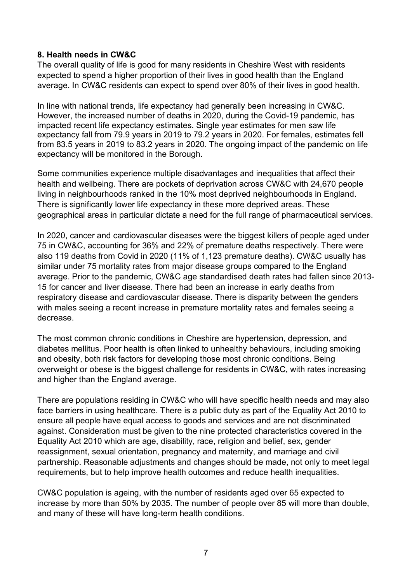#### **8. Health needs in CW&C**

The overall quality of life is good for many residents in Cheshire West with residents expected to spend a higher proportion of their lives in good health than the England average. In CW&C residents can expect to spend over 80% of their lives in good health.

In line with national trends, life expectancy had generally been increasing in CW&C. However, the increased number of deaths in 2020, during the Covid-19 pandemic, has impacted recent life expectancy estimates. Single year estimates for men saw life expectancy fall from 79.9 years in 2019 to 79.2 years in 2020. For females, estimates fell from 83.5 years in 2019 to 83.2 years in 2020. The ongoing impact of the pandemic on life expectancy will be monitored in the Borough.

Some communities experience multiple disadvantages and inequalities that affect their health and wellbeing. There are pockets of deprivation across CW&C with 24,670 people living in neighbourhoods ranked in the 10% most deprived neighbourhoods in England. There is significantly lower life expectancy in these more deprived areas. These geographical areas in particular dictate a need for the full range of pharmaceutical services.

In 2020, cancer and cardiovascular diseases were the biggest killers of people aged under 75 in CW&C, accounting for 36% and 22% of premature deaths respectively. There were also 119 deaths from Covid in 2020 (11% of 1,123 premature deaths). CW&C usually has similar under 75 mortality rates from major disease groups compared to the England average. Prior to the pandemic, CW&C age standardised death rates had fallen since 2013- 15 for cancer and liver disease. There had been an increase in early deaths from respiratory disease and cardiovascular disease. There is disparity between the genders with males seeing a recent increase in premature mortality rates and females seeing a decrease.

The most common chronic conditions in Cheshire are hypertension, depression, and diabetes mellitus. Poor health is often linked to unhealthy behaviours, including smoking and obesity, both risk factors for developing those most chronic conditions. Being overweight or obese is the biggest challenge for residents in CW&C, with rates increasing and higher than the England average.

There are populations residing in CW&C who will have specific health needs and may also face barriers in using healthcare. There is a public duty as part of the Equality Act 2010 to ensure all people have equal access to goods and services and are not discriminated against. Consideration must be given to the nine protected characteristics covered in the Equality Act 2010 which are age, disability, race, religion and belief, sex, gender reassignment, sexual orientation, pregnancy and maternity, and marriage and civil partnership. Reasonable adjustments and changes should be made, not only to meet legal requirements, but to help improve health outcomes and reduce health inequalities.

CW&C population is ageing, with the number of residents aged over 65 expected to increase by more than 50% by 2035. The number of people over 85 will more than double, and many of these will have long-term health conditions.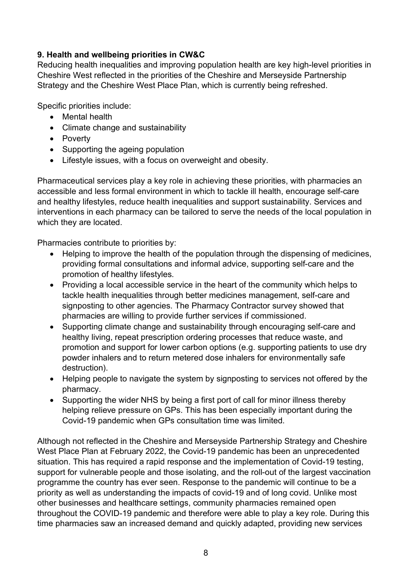# **9. Health and wellbeing priorities in CW&C**

Reducing health inequalities and improving population health are key high-level priorities in Cheshire West reflected in the priorities of the Cheshire and Merseyside Partnership Strategy and the Cheshire West Place Plan, which is currently being refreshed.

Specific priorities include:

- Mental health
- Climate change and sustainability
- Poverty
- Supporting the ageing population
- Lifestyle issues, with a focus on overweight and obesity.

Pharmaceutical services play a key role in achieving these priorities, with pharmacies an accessible and less formal environment in which to tackle ill health, encourage self-care and healthy lifestyles, reduce health inequalities and support sustainability. Services and interventions in each pharmacy can be tailored to serve the needs of the local population in which they are located.

Pharmacies contribute to priorities by:

- Helping to improve the health of the population through the dispensing of medicines, providing formal consultations and informal advice, supporting self-care and the promotion of healthy lifestyles.
- Providing a local accessible service in the heart of the community which helps to tackle health inequalities through better medicines management, self-care and signposting to other agencies. The Pharmacy Contractor survey showed that pharmacies are willing to provide further services if commissioned.
- Supporting climate change and sustainability through encouraging self-care and healthy living, repeat prescription ordering processes that reduce waste, and promotion and support for lower carbon options (e.g. supporting patients to use dry powder inhalers and to return metered dose inhalers for environmentally safe destruction).
- Helping people to navigate the system by signposting to services not offered by the pharmacy.
- Supporting the wider NHS by being a first port of call for minor illness thereby helping relieve pressure on GPs. This has been especially important during the Covid-19 pandemic when GPs consultation time was limited.

Although not reflected in the Cheshire and Merseyside Partnership Strategy and Cheshire West Place Plan at February 2022, the Covid-19 pandemic has been an unprecedented situation. This has required a rapid response and the implementation of Covid-19 testing, support for vulnerable people and those isolating, and the roll-out of the largest vaccination programme the country has ever seen. Response to the pandemic will continue to be a priority as well as understanding the impacts of covid-19 and of long covid. Unlike most other businesses and healthcare settings, community pharmacies remained open throughout the COVID-19 pandemic and therefore were able to play a key role. During this time pharmacies saw an increased demand and quickly adapted, providing new services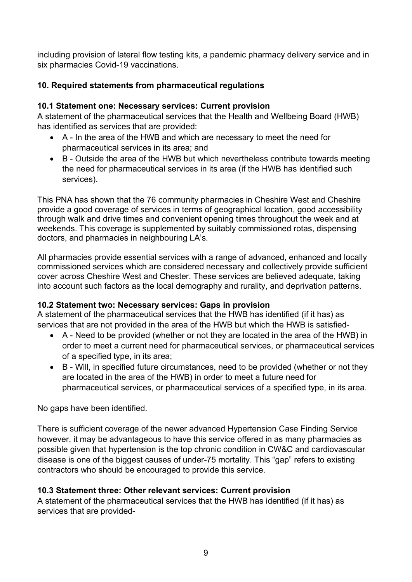including provision of lateral flow testing kits, a pandemic pharmacy delivery service and in six pharmacies Covid-19 vaccinations.

# **10. Required statements from pharmaceutical regulations**

# **10.1 Statement one: Necessary services: Current provision**

A statement of the pharmaceutical services that the Health and Wellbeing Board (HWB) has identified as services that are provided:

- A In the area of the HWB and which are necessary to meet the need for pharmaceutical services in its area; and
- B Outside the area of the HWB but which nevertheless contribute towards meeting the need for pharmaceutical services in its area (if the HWB has identified such services).

This PNA has shown that the 76 community pharmacies in Cheshire West and Cheshire provide a good coverage of services in terms of geographical location, good accessibility through walk and drive times and convenient opening times throughout the week and at weekends. This coverage is supplemented by suitably commissioned rotas, dispensing doctors, and pharmacies in neighbouring LA's.

All pharmacies provide essential services with a range of advanced, enhanced and locally commissioned services which are considered necessary and collectively provide sufficient cover across Cheshire West and Chester. These services are believed adequate, taking into account such factors as the local demography and rurality, and deprivation patterns.

# **10.2 Statement two: Necessary services: Gaps in provision**

A statement of the pharmaceutical services that the HWB has identified (if it has) as services that are not provided in the area of the HWB but which the HWB is satisfied-

- A Need to be provided (whether or not they are located in the area of the HWB) in order to meet a current need for pharmaceutical services, or pharmaceutical services of a specified type, in its area;
- B Will, in specified future circumstances, need to be provided (whether or not they are located in the area of the HWB) in order to meet a future need for pharmaceutical services, or pharmaceutical services of a specified type, in its area.

No gaps have been identified.

There is sufficient coverage of the newer advanced Hypertension Case Finding Service however, it may be advantageous to have this service offered in as many pharmacies as possible given that hypertension is the top chronic condition in CW&C and cardiovascular disease is one of the biggest causes of under-75 mortality. This "gap" refers to existing contractors who should be encouraged to provide this service.

# **10.3 Statement three: Other relevant services: Current provision**

A statement of the pharmaceutical services that the HWB has identified (if it has) as services that are provided-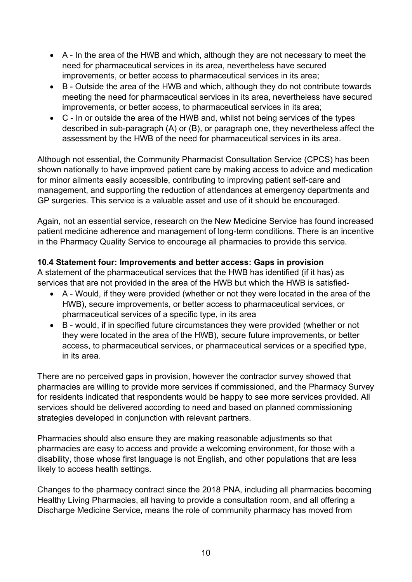- A In the area of the HWB and which, although they are not necessary to meet the need for pharmaceutical services in its area, nevertheless have secured improvements, or better access to pharmaceutical services in its area;
- B Outside the area of the HWB and which, although they do not contribute towards meeting the need for pharmaceutical services in its area, nevertheless have secured improvements, or better access, to pharmaceutical services in its area;
- C In or outside the area of the HWB and, whilst not being services of the types described in sub-paragraph (A) or (B), or paragraph one, they nevertheless affect the assessment by the HWB of the need for pharmaceutical services in its area.

Although not essential, the Community Pharmacist Consultation Service (CPCS) has been shown nationally to have improved patient care by making access to advice and medication for minor ailments easily accessible, contributing to improving patient self-care and management, and supporting the reduction of attendances at emergency departments and GP surgeries. This service is a valuable asset and use of it should be encouraged.

Again, not an essential service, research on the New Medicine Service has found increased patient medicine adherence and management of long-term conditions. There is an incentive in the Pharmacy Quality Service to encourage all pharmacies to provide this service.

#### **10.4 Statement four: Improvements and better access: Gaps in provision**

A statement of the pharmaceutical services that the HWB has identified (if it has) as services that are not provided in the area of the HWB but which the HWB is satisfied-

- A Would, if they were provided (whether or not they were located in the area of the HWB), secure improvements, or better access to pharmaceutical services, or pharmaceutical services of a specific type, in its area
- B would, if in specified future circumstances they were provided (whether or not they were located in the area of the HWB), secure future improvements, or better access, to pharmaceutical services, or pharmaceutical services or a specified type, in its area.

There are no perceived gaps in provision, however the contractor survey showed that pharmacies are willing to provide more services if commissioned, and the Pharmacy Survey for residents indicated that respondents would be happy to see more services provided. All services should be delivered according to need and based on planned commissioning strategies developed in conjunction with relevant partners.

Pharmacies should also ensure they are making reasonable adjustments so that pharmacies are easy to access and provide a welcoming environment, for those with a disability, those whose first language is not English, and other populations that are less likely to access health settings.

Changes to the pharmacy contract since the 2018 PNA, including all pharmacies becoming Healthy Living Pharmacies, all having to provide a consultation room, and all offering a Discharge Medicine Service, means the role of community pharmacy has moved from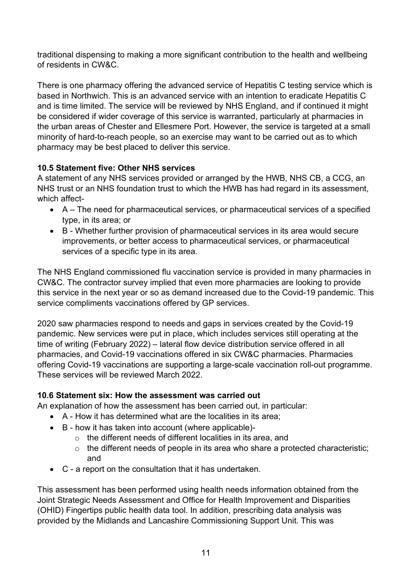traditional dispensing to making a more significant contribution to the health and wellbeing of residents in CW&C.

There is one pharmacy offering the advanced service of Hepatitis C testing service which is based in Northwich. This is an advanced service with an intention to eradicate Hepatitis C and is time limited. The service will be reviewed by NHS England, and if continued it might be considered if wider coverage of this service is warranted, particularly at pharmacies in the urban areas of Chester and Ellesmere Port. However, the service is targeted at a small minority of hard-to-reach people, so an exercise may want to be carried out as to which pharmacy may be best placed to deliver this service.

# **10.5 Statement five: Other NHS services**

A statement of any NHS services provided or arranged by the HWB, NHS CB, a CCG, an NHS trust or an NHS foundation trust to which the HWB has had regard in its assessment, which affect-

- A The need for pharmaceutical services, or pharmaceutical services of a specified type, in its area; or
- B Whether further provision of pharmaceutical services in its area would secure improvements, or better access to pharmaceutical services, or pharmaceutical services of a specific type in its area.

The NHS England commissioned flu vaccination service is provided in many pharmacies in CW&C. The contractor survey implied that even more pharmacies are looking to provide this service in the next year or so as demand increased due to the Covid-19 pandemic. This service compliments vaccinations offered by GP services.

2020 saw pharmacies respond to needs and gaps in services created by the Covid-19 pandemic. New services were put in place, which includes services still operating at the time of writing (February 2022) – lateral flow device distribution service offered in all pharmacies, and Covid-19 vaccinations offered in six CW&C pharmacies. Pharmacies offering Covid-19 vaccinations are supporting a large-scale vaccination roll-out programme. These services will be reviewed March 2022.

# **10.6 Statement six: How the assessment was carried out**

An explanation of how the assessment has been carried out, in particular:

- A How it has determined what are the localities in its area;
- B how it has taken into account (where applicable)
	- o the different needs of different localities in its area, and
	- o the different needs of people in its area who share a protected characteristic; and
- C a report on the consultation that it has undertaken.

This assessment has been performed using health needs information obtained from the Joint Strategic Needs Assessment and Office for Health Improvement and Disparities (OHID) Fingertips public health data tool. In addition, prescribing data analysis was provided by the Midlands and Lancashire Commissioning Support Unit. This was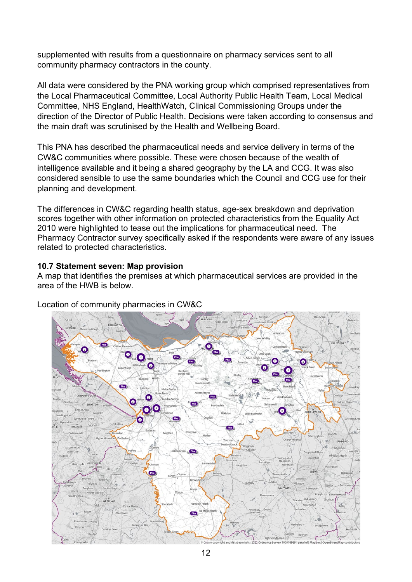supplemented with results from a questionnaire on pharmacy services sent to all community pharmacy contractors in the county.

All data were considered by the PNA working group which comprised representatives from the Local Pharmaceutical Committee, Local Authority Public Health Team, Local Medical Committee, NHS England, HealthWatch, Clinical Commissioning Groups under the direction of the Director of Public Health. Decisions were taken according to consensus and the main draft was scrutinised by the Health and Wellbeing Board.

This PNA has described the pharmaceutical needs and service delivery in terms of the CW&C communities where possible. These were chosen because of the wealth of intelligence available and it being a shared geography by the LA and CCG. It was also considered sensible to use the same boundaries which the Council and CCG use for their planning and development.

The differences in CW&C regarding health status, age-sex breakdown and deprivation scores together with other information on protected characteristics from the Equality Act 2010 were highlighted to tease out the implications for pharmaceutical need. The Pharmacy Contractor survey specifically asked if the respondents were aware of any issues related to protected characteristics.

#### **10.7 Statement seven: Map provision**

A map that identifies the premises at which pharmaceutical services are provided in the area of the HWB is below.



Location of community pharmacies in CW&C